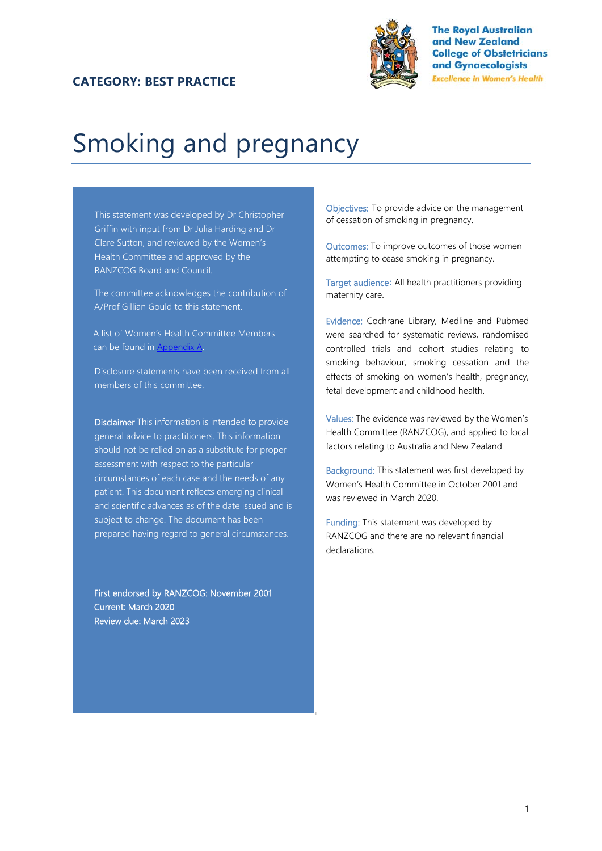#### **CATEGORY: BEST PRACTICE**



# Smoking and pregnancy

This statement was developed by Dr Christopher Griffin with input from Dr Julia Harding and Dr Clare Sutton, and reviewed by the Women's Health Committee and approved by the RANZCOG Board and Council.

The committee acknowledges the contribution of A/Prof Gillian Gould to this statement.

A list of Women's Health Committee Members can be found in **Appendix A**.

Disclosure statements have been received from all members of this committee.

Disclaimer This information is intended to provide general advice to practitioners. This information should not be relied on as a substitute for proper assessment with respect to the particular circumstances of each case and the needs of any patient. This document reflects emerging clinical and scientific advances as of the date issued and is subject to change. The document has been prepared having regard to general circumstances.

First endorsed by RANZCOG: November 2001 Current: March 2020 Review due: March 2023

Objectives: To provide advice on the management of cessation of smoking in pregnancy.

Outcomes: To improve outcomes of those women attempting to cease smoking in pregnancy.

Target audience**:** All health practitioners providing maternity care.

Evidence: Cochrane Library, Medline and Pubmed were searched for systematic reviews, randomised controlled trials and cohort studies relating to smoking behaviour, smoking cessation and the effects of smoking on women's health, pregnancy, fetal development and childhood health.

Values: The evidence was reviewed by the Women's Health Committee (RANZCOG), and applied to local factors relating to Australia and New Zealand.

Background: This statement was first developed by Women's Health Committee in October 2001 and was reviewed in March 2020.

Funding: This statement was developed by RANZCOG and there are no relevant financial declarations.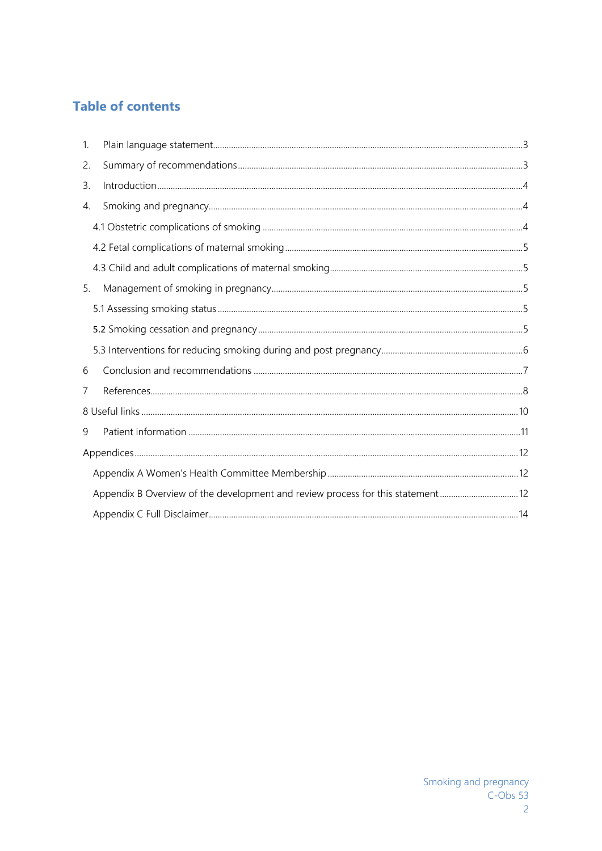# **Table of contents**

| $\mathbf{1}$ |                                                                                |  |  |  |
|--------------|--------------------------------------------------------------------------------|--|--|--|
| 2.           |                                                                                |  |  |  |
| 3.           |                                                                                |  |  |  |
| 4.           |                                                                                |  |  |  |
|              |                                                                                |  |  |  |
|              |                                                                                |  |  |  |
|              |                                                                                |  |  |  |
| 5.           |                                                                                |  |  |  |
|              |                                                                                |  |  |  |
|              |                                                                                |  |  |  |
|              |                                                                                |  |  |  |
| 6            |                                                                                |  |  |  |
| 7            |                                                                                |  |  |  |
|              |                                                                                |  |  |  |
| 9            |                                                                                |  |  |  |
|              |                                                                                |  |  |  |
|              |                                                                                |  |  |  |
|              | Appendix B Overview of the development and review process for this statement12 |  |  |  |
|              |                                                                                |  |  |  |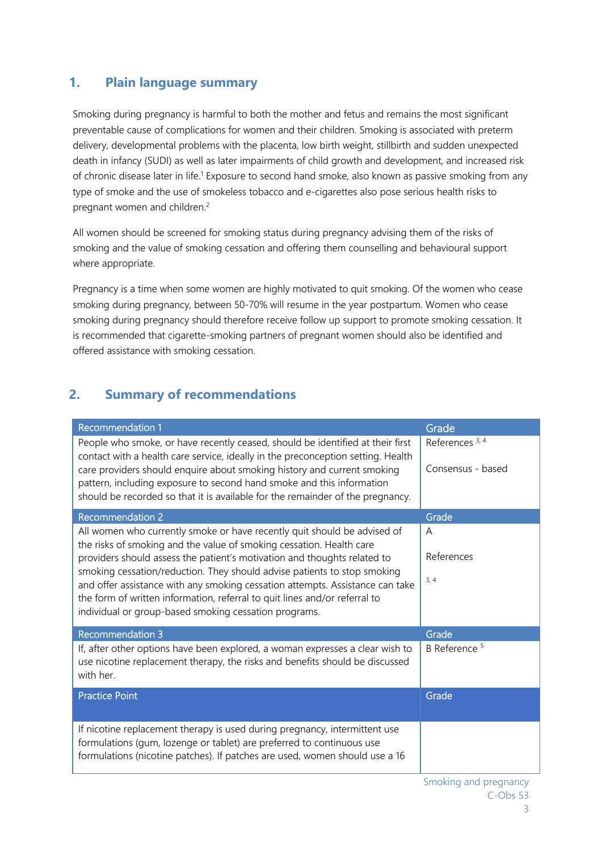## **1. Plain language summary**

Smoking during pregnancy is harmful to both the mother and fetus and remains the most significant preventable cause of complications for women and their children. Smoking is associated with preterm delivery, developmental problems with the placenta, low birth weight, stillbirth and sudden unexpected death in infancy (SUDI) as well as later impairments of child growth and development, and increased risk of chronic disease later in life.<sup>1</sup> Exposure to second hand smoke, also known as passive smoking from any type of smoke and the use of smokeless tobacco and e-cigarettes also pose serious health risks to pregnant women and children.2

All women should be screened for smoking status during pregnancy advising them of the risks of smoking and the value of smoking cessation and offering them counselling and behavioural support where appropriate.

Pregnancy is a time when some women are highly motivated to quit smoking. Of the women who cease smoking during pregnancy, between 50-70% will resume in the year postpartum. Women who cease smoking during pregnancy should therefore receive follow up support to promote smoking cessation. It is recommended that cigarette-smoking partners of pregnant women should also be identified and offered assistance with smoking cessation.

# **2. Summary of recommendations**

| <b>Recommendation 1</b>                                                                                                                                                                                                            | Grade                                           |
|------------------------------------------------------------------------------------------------------------------------------------------------------------------------------------------------------------------------------------|-------------------------------------------------|
| People who smoke, or have recently ceased, should be identified at their first<br>contact with a health care service, ideally in the preconception setting. Health                                                                 | References <sup>3, 4</sup><br>Consensus - based |
| care providers should enquire about smoking history and current smoking<br>pattern, including exposure to second hand smoke and this information<br>should be recorded so that it is available for the remainder of the pregnancy. |                                                 |
| <b>Recommendation 2</b>                                                                                                                                                                                                            | Grade                                           |
| All women who currently smoke or have recently quit should be advised of<br>the risks of smoking and the value of smoking cessation. Health care                                                                                   | A                                               |
| providers should assess the patient's motivation and thoughts related to                                                                                                                                                           | References                                      |
| smoking cessation/reduction. They should advise patients to stop smoking<br>and offer assistance with any smoking cessation attempts. Assistance can take                                                                          | 3, 4                                            |
| the form of written information, referral to quit lines and/or referral to                                                                                                                                                         |                                                 |
| individual or group-based smoking cessation programs.                                                                                                                                                                              |                                                 |
| <b>Recommendation 3</b>                                                                                                                                                                                                            | Grade                                           |
| If, after other options have been explored, a woman expresses a clear wish to<br>use nicotine replacement therapy, the risks and benefits should be discussed<br>with her.                                                         | B Reference <sup>5</sup>                        |
| <b>Practice Point</b>                                                                                                                                                                                                              | Grade                                           |
| If nicotine replacement therapy is used during pregnancy, intermittent use<br>formulations (gum, lozenge or tablet) are preferred to continuous use<br>formulations (nicotine patches). If patches are used, women should use a 16 |                                                 |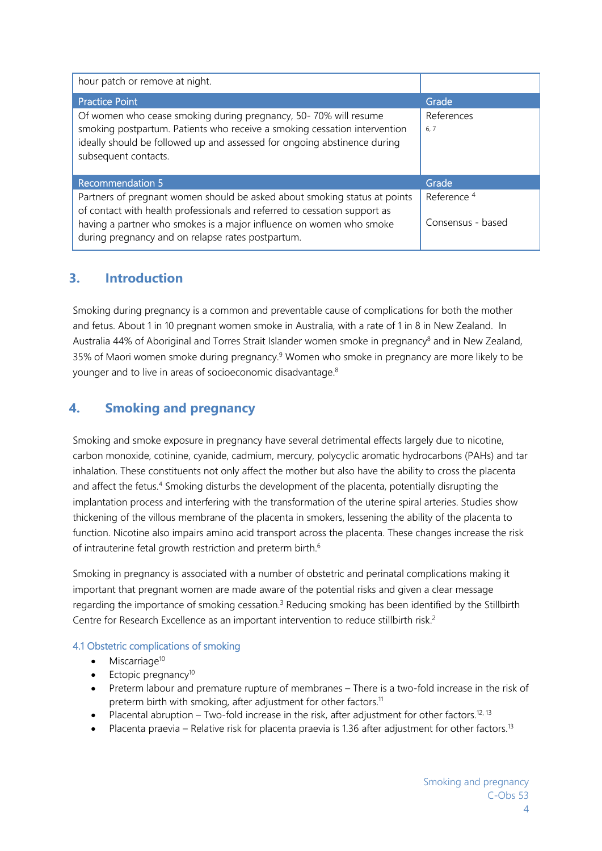| hour patch or remove at night.                                                                                                                                                                                                                   |                        |
|--------------------------------------------------------------------------------------------------------------------------------------------------------------------------------------------------------------------------------------------------|------------------------|
| <b>Practice Point</b>                                                                                                                                                                                                                            | Grade                  |
| Of women who cease smoking during pregnancy, 50-70% will resume<br>smoking postpartum. Patients who receive a smoking cessation intervention<br>ideally should be followed up and assessed for ongoing abstinence during<br>subsequent contacts. | References<br>6, 7     |
| <b>Recommendation 5</b>                                                                                                                                                                                                                          | Grade                  |
| Partners of pregnant women should be asked about smoking status at points<br>of contact with health professionals and referred to cessation support as                                                                                           | Reference <sup>4</sup> |
| having a partner who smokes is a major influence on women who smoke<br>during pregnancy and on relapse rates postpartum.                                                                                                                         | Consensus - based      |

## **3. Introduction**

Smoking during pregnancy is a common and preventable cause of complications for both the mother and fetus. About 1 in 10 pregnant women smoke in Australia, with a rate of 1 in 8 in New Zealand. In Australia 44% of Aboriginal and Torres Strait Islander women smoke in pregnancy<sup>8</sup> and in New Zealand, 35% of Maori women smoke during pregnancy.<sup>9</sup> Women who smoke in pregnancy are more likely to be younger and to live in areas of socioeconomic disadvantage.<sup>8</sup>

# **4. Smoking and pregnancy**

Smoking and smoke exposure in pregnancy have several detrimental effects largely due to nicotine, carbon monoxide, cotinine, cyanide, cadmium, mercury, polycyclic aromatic hydrocarbons (PAHs) and tar inhalation. These constituents not only affect the mother but also have the ability to cross the placenta and affect the fetus.<sup>4</sup> Smoking disturbs the development of the placenta, potentially disrupting the implantation process and interfering with the transformation of the uterine spiral arteries. Studies show thickening of the villous membrane of the placenta in smokers, lessening the ability of the placenta to function. Nicotine also impairs amino acid transport across the placenta. These changes increase the risk of intrauterine fetal growth restriction and preterm birth.<sup>6</sup>

Smoking in pregnancy is associated with a number of obstetric and perinatal complications making it important that pregnant women are made aware of the potential risks and given a clear message regarding the importance of smoking cessation.<sup>3</sup> Reducing smoking has been identified by the Stillbirth Centre for Research Excellence as an important intervention to reduce stillbirth risk.<sup>2</sup>

## 4.1 Obstetric complications of smoking

- $\bullet$  Miscarriage<sup>10</sup>
- $\bullet$  Ectopic pregnancy<sup>10</sup>
- Preterm labour and premature rupture of membranes There is a two-fold increase in the risk of preterm birth with smoking, after adjustment for other factors.<sup>11</sup>
- Placental abruption Two-fold increase in the risk, after adjustment for other factors.<sup>12, 13</sup>
- Placenta praevia Relative risk for placenta praevia is 1.36 after adjustment for other factors.<sup>13</sup>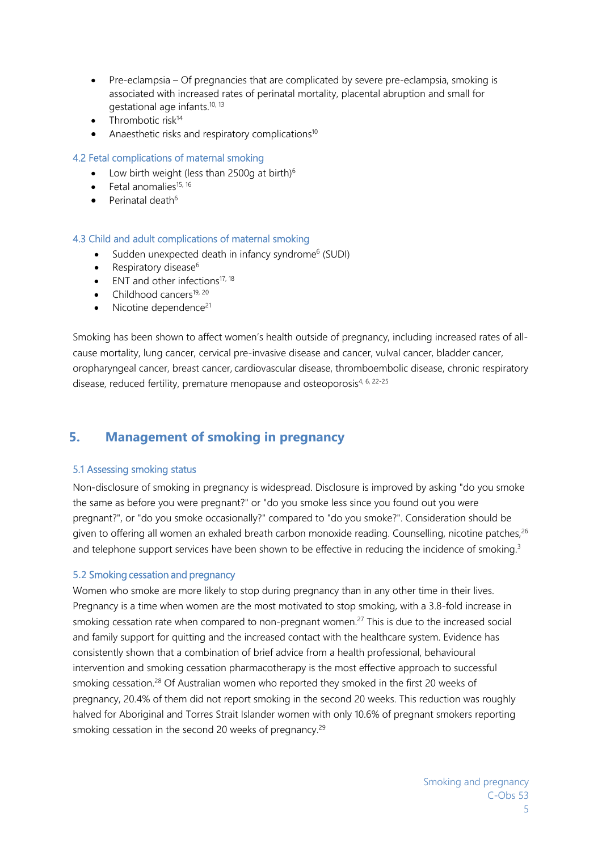- Pre-eclampsia Of pregnancies that are complicated by severe pre-eclampsia, smoking is associated with increased rates of perinatal mortality, placental abruption and small for gestational age infants.<sup>10, 13</sup>
- $\bullet$  Thrombotic risk<sup>14</sup>
- Anaesthetic risks and respiratory complications<sup>10</sup>

#### 4.2 Fetal complications of maternal smoking

- Low birth weight (less than 2500g at birth) $6$
- Fetal anomalies15, 16
- $\bullet$  Perinatal death<sup>6</sup>

#### 4.3 Child and adult complications of maternal smoking

- Sudden unexpected death in infancy syndrome<sup>6</sup> (SUDI)
- Respiratory disease $6$
- $\bullet$  ENT and other infections<sup>17, 18</sup>
- $\bullet$  Childhood cancers<sup>19, 20</sup>
- $\bullet$  Nicotine dependence<sup>21</sup>

Smoking has been shown to affect women's health outside of pregnancy, including increased rates of allcause mortality, lung cancer, cervical pre-invasive disease and cancer, vulval cancer, bladder cancer, oropharyngeal cancer, breast cancer, cardiovascular disease, thromboembolic disease, chronic respiratory disease, reduced fertility, premature menopause and osteoporosis<sup>4, 6, 22-25</sup>

## **5. Management of smoking in pregnancy**

#### 5.1 Assessing smoking status

Non-disclosure of smoking in pregnancy is widespread. Disclosure is improved by asking "do you smoke the same as before you were pregnant?" or "do you smoke less since you found out you were pregnant?", or "do you smoke occasionally?" compared to "do you smoke?". Consideration should be given to offering all women an exhaled breath carbon monoxide reading. Counselling, nicotine patches,<sup>26</sup> and telephone support services have been shown to be effective in reducing the incidence of smoking.<sup>3</sup>

#### 5.2 Smoking cessation and pregnancy

Women who smoke are more likely to stop during pregnancy than in any other time in their lives. Pregnancy is a time when women are the most motivated to stop smoking, with a 3.8-fold increase in smoking cessation rate when compared to non-pregnant women.<sup>27</sup> This is due to the increased social and family support for quitting and the increased contact with the healthcare system. Evidence has consistently shown that a combination of brief advice from a health professional, behavioural intervention and smoking cessation pharmacotherapy is the most effective approach to successful smoking cessation.<sup>28</sup> Of Australian women who reported they smoked in the first 20 weeks of pregnancy, 20.4% of them did not report smoking in the second 20 weeks. This reduction was roughly halved for Aboriginal and Torres Strait Islander women with only 10.6% of pregnant smokers reporting smoking cessation in the second 20 weeks of pregnancy.<sup>29</sup>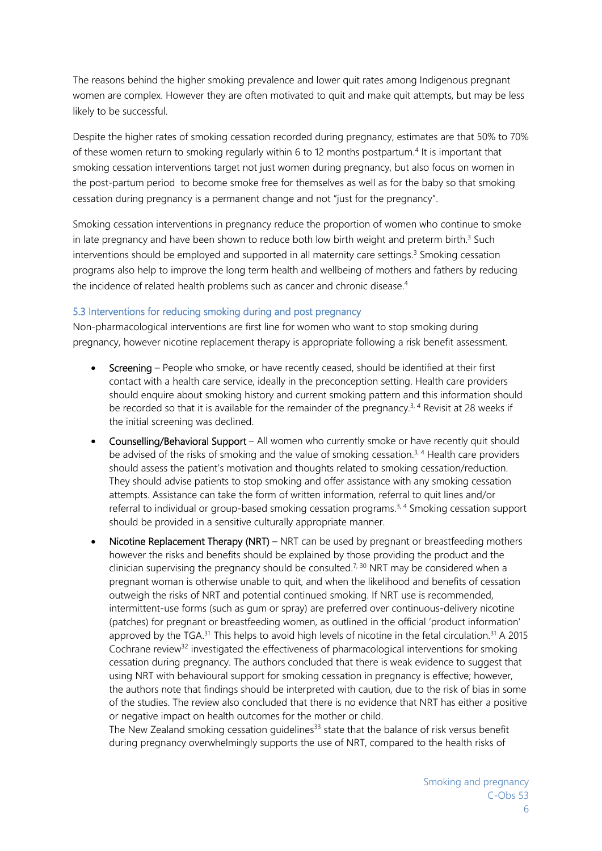The reasons behind the higher smoking prevalence and lower quit rates among Indigenous pregnant women are complex. However they are often motivated to quit and make quit attempts, but may be less likely to be successful.

Despite the higher rates of smoking cessation recorded during pregnancy, estimates are that 50% to 70% of these women return to smoking regularly within 6 to 12 months postpartum.4 It is important that smoking cessation interventions target not just women during pregnancy, but also focus on women in the post-partum period to become smoke free for themselves as well as for the baby so that smoking cessation during pregnancy is a permanent change and not "just for the pregnancy".

Smoking cessation interventions in pregnancy reduce the proportion of women who continue to smoke in late pregnancy and have been shown to reduce both low birth weight and preterm birth. $3$  Such interventions should be employed and supported in all maternity care settings.<sup>3</sup> Smoking cessation programs also help to improve the long term health and wellbeing of mothers and fathers by reducing the incidence of related health problems such as cancer and chronic disease.<sup>4</sup>

#### 5.3 Interventions for reducing smoking during and post pregnancy

Non-pharmacological interventions are first line for women who want to stop smoking during pregnancy, however nicotine replacement therapy is appropriate following a risk benefit assessment.

- Screening People who smoke, or have recently ceased, should be identified at their first contact with a health care service, ideally in the preconception setting. Health care providers should enquire about smoking history and current smoking pattern and this information should be recorded so that it is available for the remainder of the pregnancy.<sup>3, 4</sup> Revisit at 28 weeks if the initial screening was declined.
- Counselling/Behavioral Support All women who currently smoke or have recently quit should be advised of the risks of smoking and the value of smoking cessation.<sup>3, 4</sup> Health care providers should assess the patient's motivation and thoughts related to smoking cessation/reduction. They should advise patients to stop smoking and offer assistance with any smoking cessation attempts. Assistance can take the form of written information, referral to quit lines and/or referral to individual or group-based smoking cessation programs.3, 4 Smoking cessation support should be provided in a sensitive culturally appropriate manner.
- Nicotine Replacement Therapy (NRT) NRT can be used by pregnant or breastfeeding mothers however the risks and benefits should be explained by those providing the product and the clinician supervising the pregnancy should be consulted.<sup>7, 30</sup> NRT may be considered when a pregnant woman is otherwise unable to quit, and when the likelihood and benefits of cessation outweigh the risks of NRT and potential continued smoking. If NRT use is recommended, intermittent-use forms (such as gum or spray) are preferred over continuous-delivery nicotine (patches) for pregnant or breastfeeding women, as outlined in the official 'product information' approved by the TGA.<sup>31</sup> This helps to avoid high levels of nicotine in the fetal circulation.<sup>31</sup> A 2015 Cochrane review<sup>32</sup> investigated the effectiveness of pharmacological interventions for smoking cessation during pregnancy. The authors concluded that there is weak evidence to suggest that using NRT with behavioural support for smoking cessation in pregnancy is effective; however, the authors note that findings should be interpreted with caution, due to the risk of bias in some of the studies. The review also concluded that there is no evidence that NRT has either a positive or negative impact on health outcomes for the mother or child.

The New Zealand smoking cessation guidelines<sup>33</sup> state that the balance of risk versus benefit during pregnancy overwhelmingly supports the use of NRT, compared to the health risks of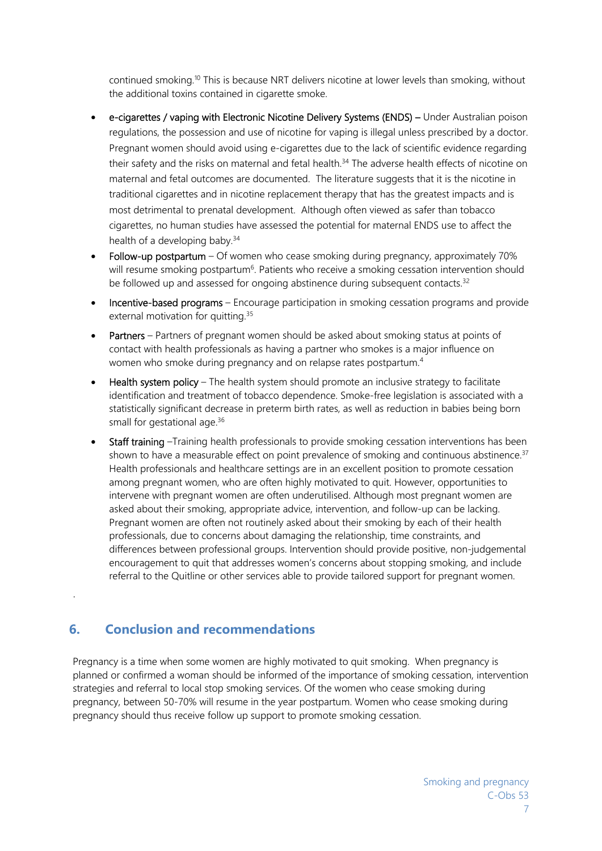continued smoking.<sup>10</sup> This is because NRT delivers nicotine at lower levels than smoking, without the additional toxins contained in cigarette smoke.

- e-cigarettes / vaping with Electronic Nicotine Delivery Systems (ENDS) Under Australian poison regulations, the possession and use of nicotine for vaping is illegal unless prescribed by a doctor. Pregnant women should avoid using e-cigarettes due to the lack of scientific evidence regarding their safety and the risks on maternal and fetal health.<sup>34</sup> The adverse health effects of nicotine on maternal and fetal outcomes are documented. The literature suggests that it is the nicotine in traditional cigarettes and in nicotine replacement therapy that has the greatest impacts and is most detrimental to prenatal development. Although often viewed as safer than tobacco cigarettes, no human studies have assessed the potential for maternal ENDS use to affect the health of a developing baby.<sup>34</sup>
- Follow-up postpartum Of women who cease smoking during pregnancy, approximately 70% will resume smoking postpartum<sup>6</sup>. Patients who receive a smoking cessation intervention should be followed up and assessed for ongoing abstinence during subsequent contacts.<sup>32</sup>
- Incentive-based programs Encourage participation in smoking cessation programs and provide external motivation for quitting.<sup>35</sup>
- Partners Partners of pregnant women should be asked about smoking status at points of contact with health professionals as having a partner who smokes is a major influence on women who smoke during pregnancy and on relapse rates postpartum.<sup>4</sup>
- Health system policy The health system should promote an inclusive strategy to facilitate identification and treatment of tobacco dependence. Smoke-free legislation is associated with a statistically significant decrease in preterm birth rates, as well as reduction in babies being born small for gestational age.<sup>36</sup>
- Staff training –Training health professionals to provide smoking cessation interventions has been shown to have a measurable effect on point prevalence of smoking and continuous abstinence.<sup>37</sup> Health professionals and healthcare settings are in an excellent position to promote cessation among pregnant women, who are often highly motivated to quit. However, opportunities to intervene with pregnant women are often underutilised. Although most pregnant women are asked about their smoking, appropriate advice, intervention, and follow-up can be lacking. Pregnant women are often not routinely asked about their smoking by each of their health professionals, due to concerns about damaging the relationship, time constraints, and differences between professional groups. Intervention should provide positive, non-judgemental encouragement to quit that addresses women's concerns about stopping smoking, and include referral to the Quitline or other services able to provide tailored support for pregnant women.

# **6. Conclusion and recommendations**

.

Pregnancy is a time when some women are highly motivated to quit smoking. When pregnancy is planned or confirmed a woman should be informed of the importance of smoking cessation, intervention strategies and referral to local stop smoking services. Of the women who cease smoking during pregnancy, between 50-70% will resume in the year postpartum. Women who cease smoking during pregnancy should thus receive follow up support to promote smoking cessation.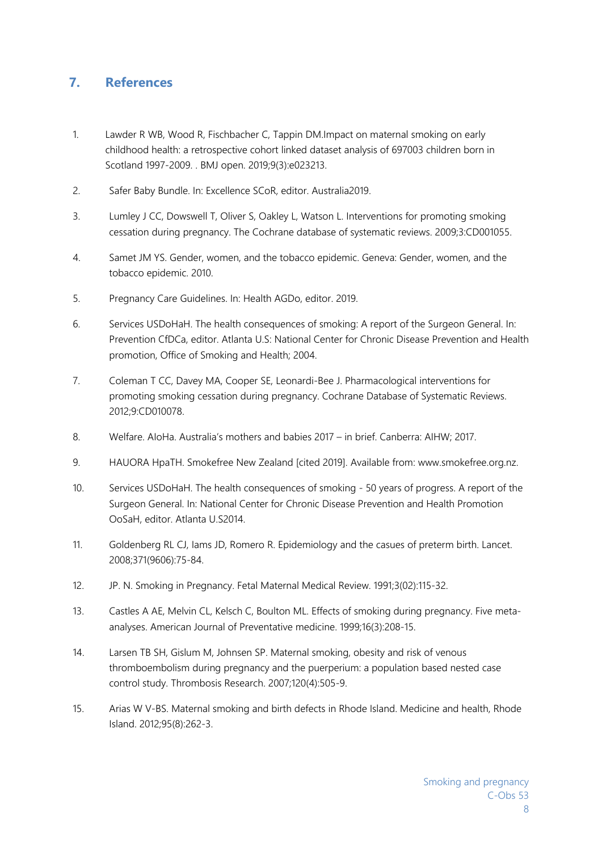## **7. References**

- 1. Lawder R WB, Wood R, Fischbacher C, Tappin DM.Impact on maternal smoking on early childhood health: a retrospective cohort linked dataset analysis of 697003 children born in Scotland 1997-2009. . BMJ open. 2019;9(3):e023213.
- 2. Safer Baby Bundle. In: Excellence SCoR, editor. Australia2019.
- 3. Lumley J CC, Dowswell T, Oliver S, Oakley L, Watson L. Interventions for promoting smoking cessation during pregnancy. The Cochrane database of systematic reviews. 2009;3:CD001055.
- 4. Samet JM YS. Gender, women, and the tobacco epidemic. Geneva: Gender, women, and the tobacco epidemic. 2010.
- 5. Pregnancy Care Guidelines. In: Health AGDo, editor. 2019.
- 6. Services USDoHaH. The health consequences of smoking: A report of the Surgeon General. In: Prevention CfDCa, editor. Atlanta U.S: National Center for Chronic Disease Prevention and Health promotion, Office of Smoking and Health; 2004.
- 7. Coleman T CC, Davey MA, Cooper SE, Leonardi-Bee J. Pharmacological interventions for promoting smoking cessation during pregnancy. Cochrane Database of Systematic Reviews. 2012;9:CD010078.
- 8. Welfare. AIoHa. Australia's mothers and babies 2017 in brief. Canberra: AIHW; 2017.
- 9. HAUORA HpaTH. Smokefree New Zealand [cited 2019]. Available from: www.smokefree.org.nz.
- 10. Services USDoHaH. The health consequences of smoking 50 years of progress. A report of the Surgeon General. In: National Center for Chronic Disease Prevention and Health Promotion OoSaH, editor. Atlanta U.S2014.
- 11. Goldenberg RL CJ, Iams JD, Romero R. Epidemiology and the casues of preterm birth. Lancet. 2008;371(9606):75-84.
- 12. JP. N. Smoking in Pregnancy. Fetal Maternal Medical Review. 1991;3(02):115-32.
- 13. Castles A AE, Melvin CL, Kelsch C, Boulton ML. Effects of smoking during pregnancy. Five metaanalyses. American Journal of Preventative medicine. 1999;16(3):208-15.
- 14. Larsen TB SH, Gislum M, Johnsen SP. Maternal smoking, obesity and risk of venous thromboembolism during pregnancy and the puerperium: a population based nested case control study. Thrombosis Research. 2007;120(4):505-9.
- 15. Arias W V-BS. Maternal smoking and birth defects in Rhode Island. Medicine and health, Rhode Island. 2012;95(8):262-3.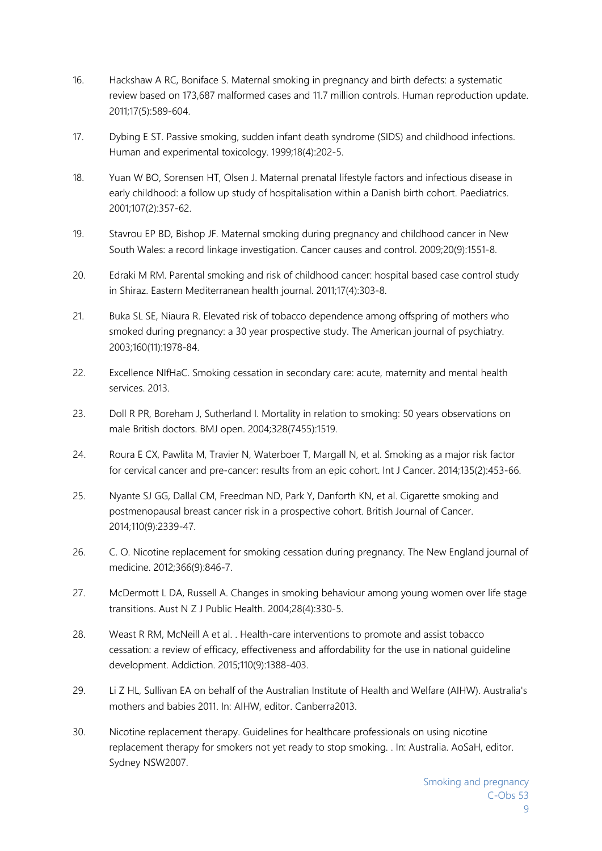- 16. Hackshaw A RC, Boniface S. Maternal smoking in pregnancy and birth defects: a systematic review based on 173,687 malformed cases and 11.7 million controls. Human reproduction update. 2011;17(5):589-604.
- 17. Dybing E ST. Passive smoking, sudden infant death syndrome (SIDS) and childhood infections. Human and experimental toxicology. 1999;18(4):202-5.
- 18. Yuan W BO, Sorensen HT, Olsen J. Maternal prenatal lifestyle factors and infectious disease in early childhood: a follow up study of hospitalisation within a Danish birth cohort. Paediatrics. 2001;107(2):357-62.
- 19. Stavrou EP BD, Bishop JF. Maternal smoking during pregnancy and childhood cancer in New South Wales: a record linkage investigation. Cancer causes and control. 2009;20(9):1551-8.
- 20. Edraki M RM. Parental smoking and risk of childhood cancer: hospital based case control study in Shiraz. Eastern Mediterranean health journal. 2011;17(4):303-8.
- 21. Buka SL SE, Niaura R. Elevated risk of tobacco dependence among offspring of mothers who smoked during pregnancy: a 30 year prospective study. The American journal of psychiatry. 2003;160(11):1978-84.
- 22. Excellence NIfHaC. Smoking cessation in secondary care: acute, maternity and mental health services. 2013.
- 23. Doll R PR, Boreham J, Sutherland I. Mortality in relation to smoking: 50 years observations on male British doctors. BMJ open. 2004;328(7455):1519.
- 24. Roura E CX, Pawlita M, Travier N, Waterboer T, Margall N, et al. Smoking as a major risk factor for cervical cancer and pre-cancer: results from an epic cohort. Int J Cancer. 2014;135(2):453-66.
- 25. Nyante SJ GG, Dallal CM, Freedman ND, Park Y, Danforth KN, et al. Cigarette smoking and postmenopausal breast cancer risk in a prospective cohort. British Journal of Cancer. 2014;110(9):2339-47.
- 26. C. O. Nicotine replacement for smoking cessation during pregnancy. The New England journal of medicine. 2012;366(9):846-7.
- 27. McDermott L DA, Russell A. Changes in smoking behaviour among young women over life stage transitions. Aust N Z J Public Health. 2004;28(4):330-5.
- 28. Weast R RM, McNeill A et al. . Health-care interventions to promote and assist tobacco cessation: a review of efficacy, effectiveness and affordability for the use in national guideline development. Addiction. 2015;110(9):1388-403.
- 29. Li Z HL, Sullivan EA on behalf of the Australian Institute of Health and Welfare (AIHW). Australia's mothers and babies 2011. In: AIHW, editor. Canberra2013.
- 30. Nicotine replacement therapy. Guidelines for healthcare professionals on using nicotine replacement therapy for smokers not yet ready to stop smoking. . In: Australia. AoSaH, editor. Sydney NSW2007.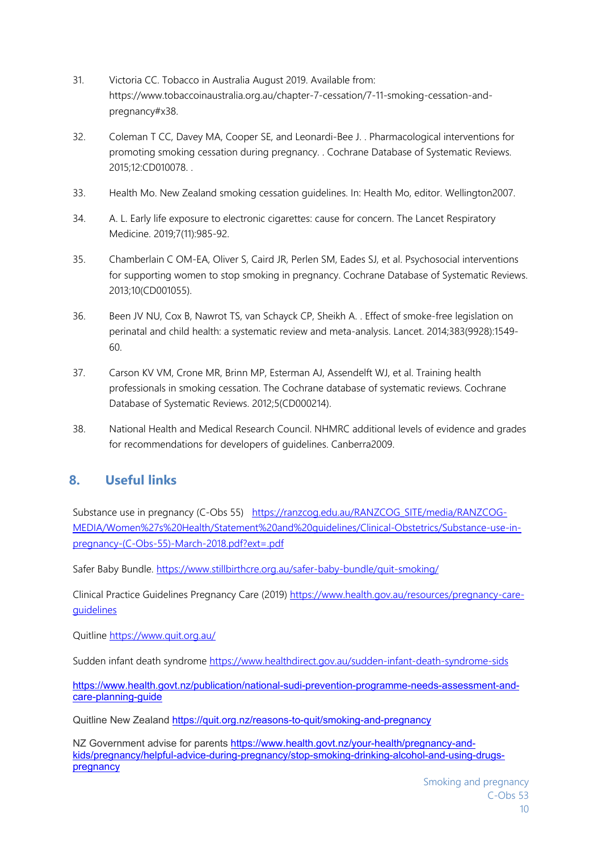- 31. Victoria CC. Tobacco in Australia August 2019. Available from: https://www.tobaccoinaustralia.org.au/chapter-7-cessation/7-11-smoking-cessation-andpregnancy#x38.
- 32. Coleman T CC, Davey MA, Cooper SE, and Leonardi-Bee J. . Pharmacological interventions for promoting smoking cessation during pregnancy. . Cochrane Database of Systematic Reviews. 2015;12:CD010078. .
- 33. Health Mo. New Zealand smoking cessation guidelines. In: Health Mo, editor. Wellington2007.
- 34. A. L. Early life exposure to electronic cigarettes: cause for concern. The Lancet Respiratory Medicine. 2019;7(11):985-92.
- 35. Chamberlain C OM-EA, Oliver S, Caird JR, Perlen SM, Eades SJ, et al. Psychosocial interventions for supporting women to stop smoking in pregnancy. Cochrane Database of Systematic Reviews. 2013;10(CD001055).
- 36. Been JV NU, Cox B, Nawrot TS, van Schayck CP, Sheikh A. . Effect of smoke-free legislation on perinatal and child health: a systematic review and meta-analysis. Lancet. 2014;383(9928):1549- 60.
- 37. Carson KV VM, Crone MR, Brinn MP, Esterman AJ, Assendelft WJ, et al. Training health professionals in smoking cessation. The Cochrane database of systematic reviews. Cochrane Database of Systematic Reviews. 2012;5(CD000214).
- 38. National Health and Medical Research Council. NHMRC additional levels of evidence and grades for recommendations for developers of guidelines. Canberra2009.

## **8. Useful links**

Substance use in pregnancy (C-Obs 55) https://ranzcog.edu.au/RANZCOG SITE/media/RANZCOG-MEDIA/Women%27s%20Health/Statement%20and%20guidelines/Clinical-Obstetrics/Substance-use-inpregnancy-(C-Obs-55)-March-2018.pdf?ext=.pdf

Safer Baby Bundle. https://www.stillbirthcre.org.au/safer-baby-bundle/quit-smoking/

Clinical Practice Guidelines Pregnancy Care (2019) https://www.health.gov.au/resources/pregnancy-careguidelines

Quitline https://www.quit.org.au/

Sudden infant death syndrome https://www.healthdirect.gov.au/sudden-infant-death-syndrome-sids

https://www.health.govt.nz/publication/national-sudi-prevention-programme-needs-assessment-andcare-planning-guide

Quitline New Zealand https://quit.org.nz/reasons-to-quit/smoking-and-pregnancy

NZ Government advise for parents https://www.health.govt.nz/your-health/pregnancy-andkids/pregnancy/helpful-advice-during-pregnancy/stop-smoking-drinking-alcohol-and-using-drugspregnancy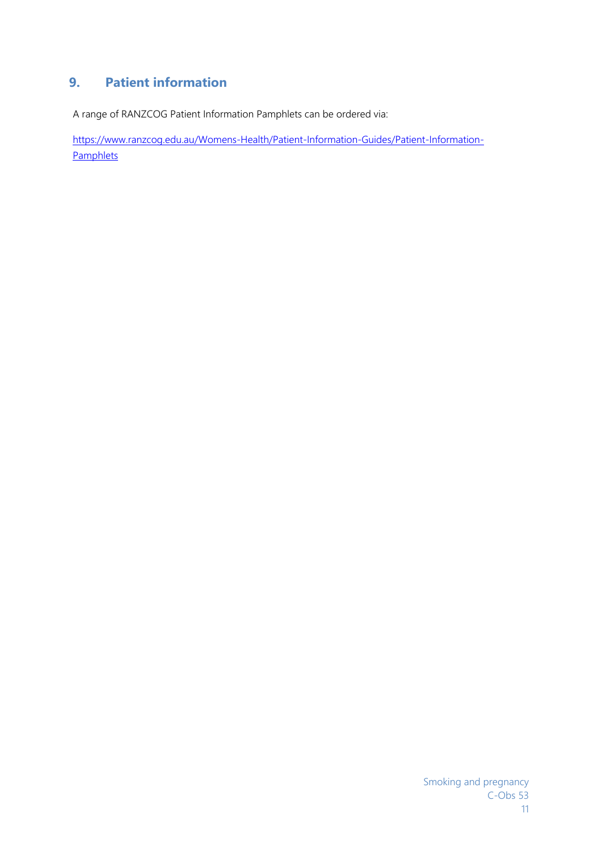# **9. Patient information**

A range of RANZCOG Patient Information Pamphlets can be ordered via:

https://www.ranzcog.edu.au/Womens-Health/Patient-Information-Guides/Patient-Information-**Pamphlets**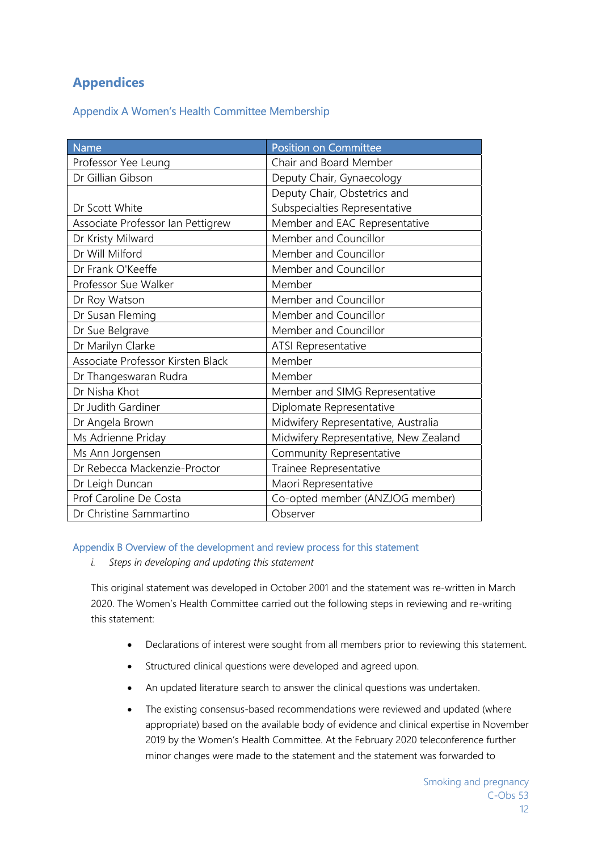## **Appendices**

## Appendix A Women's Health Committee Membership

| <b>Name</b>                       | <b>Position on Committee</b>          |
|-----------------------------------|---------------------------------------|
| Professor Yee Leung               | Chair and Board Member                |
| Dr Gillian Gibson                 | Deputy Chair, Gynaecology             |
|                                   | Deputy Chair, Obstetrics and          |
| Dr Scott White                    | Subspecialties Representative         |
| Associate Professor Ian Pettigrew | Member and EAC Representative         |
| Dr Kristy Milward                 | Member and Councillor                 |
| Dr Will Milford                   | Member and Councillor                 |
| Dr Frank O'Keeffe                 | Member and Councillor                 |
| Professor Sue Walker              | Member                                |
| Dr Roy Watson                     | Member and Councillor                 |
| Dr Susan Fleming                  | Member and Councillor                 |
| Dr Sue Belgrave                   | Member and Councillor                 |
| Dr Marilyn Clarke                 | ATSI Representative                   |
| Associate Professor Kirsten Black | Member                                |
| Dr Thangeswaran Rudra             | Member                                |
| Dr Nisha Khot                     | Member and SIMG Representative        |
| Dr Judith Gardiner                | Diplomate Representative              |
| Dr Angela Brown                   | Midwifery Representative, Australia   |
| Ms Adrienne Priday                | Midwifery Representative, New Zealand |
| Ms Ann Jorgensen                  | Community Representative              |
| Dr Rebecca Mackenzie-Proctor      | Trainee Representative                |
| Dr Leigh Duncan                   | Maori Representative                  |
| Prof Caroline De Costa            | Co-opted member (ANZJOG member)       |
| Dr Christine Sammartino           | Observer                              |

#### Appendix B Overview of the development and review process for this statement

*i. Steps in developing and updating this statement* 

This original statement was developed in October 2001 and the statement was re-written in March 2020. The Women's Health Committee carried out the following steps in reviewing and re-writing this statement:

- Declarations of interest were sought from all members prior to reviewing this statement.
- Structured clinical questions were developed and agreed upon.
- An updated literature search to answer the clinical questions was undertaken.
- The existing consensus-based recommendations were reviewed and updated (where appropriate) based on the available body of evidence and clinical expertise in November 2019 by the Women's Health Committee. At the February 2020 teleconference further minor changes were made to the statement and the statement was forwarded to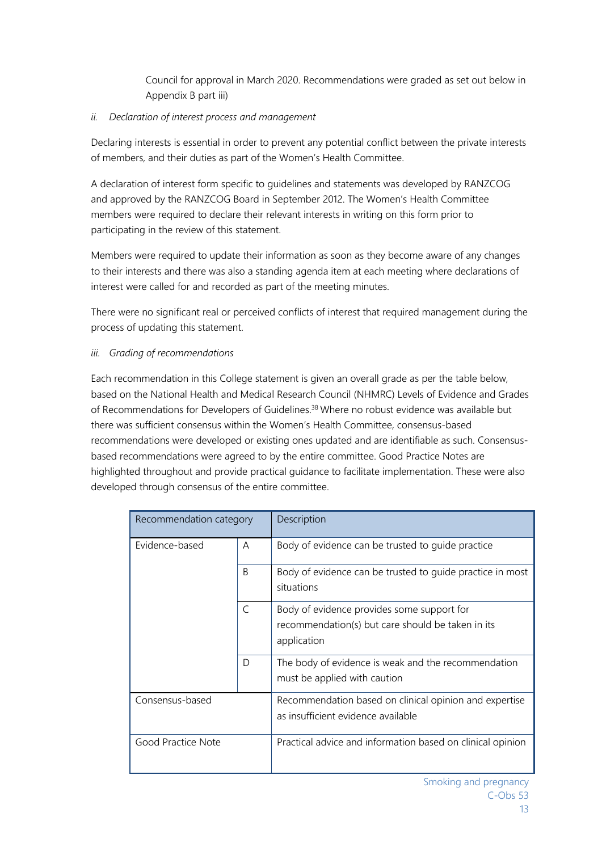Council for approval in March 2020. Recommendations were graded as set out below in Appendix B part iii)

### *ii. Declaration of interest process and management*

Declaring interests is essential in order to prevent any potential conflict between the private interests of members, and their duties as part of the Women's Health Committee.

A declaration of interest form specific to guidelines and statements was developed by RANZCOG and approved by the RANZCOG Board in September 2012. The Women's Health Committee members were required to declare their relevant interests in writing on this form prior to participating in the review of this statement.

Members were required to update their information as soon as they become aware of any changes to their interests and there was also a standing agenda item at each meeting where declarations of interest were called for and recorded as part of the meeting minutes.

There were no significant real or perceived conflicts of interest that required management during the process of updating this statement.

#### *iii. Grading of recommendations*

Each recommendation in this College statement is given an overall grade as per the table below, based on the National Health and Medical Research Council (NHMRC) Levels of Evidence and Grades of Recommendations for Developers of Guidelines.<sup>38</sup> Where no robust evidence was available but there was sufficient consensus within the Women's Health Committee, consensus-based recommendations were developed or existing ones updated and are identifiable as such. Consensusbased recommendations were agreed to by the entire committee. Good Practice Notes are highlighted throughout and provide practical guidance to facilitate implementation. These were also developed through consensus of the entire committee.

| Recommendation category |              | Description                                                                                                    |
|-------------------------|--------------|----------------------------------------------------------------------------------------------------------------|
| Evidence-based          | A            | Body of evidence can be trusted to guide practice                                                              |
|                         | <sub>R</sub> | Body of evidence can be trusted to quide practice in most<br>situations                                        |
|                         | $\subset$    | Body of evidence provides some support for<br>recommendation(s) but care should be taken in its<br>application |
|                         | D            | The body of evidence is weak and the recommendation<br>must be applied with caution                            |
| Consensus-based         |              | Recommendation based on clinical opinion and expertise<br>as insufficient evidence available                   |
| Good Practice Note      |              | Practical advice and information based on clinical opinion                                                     |